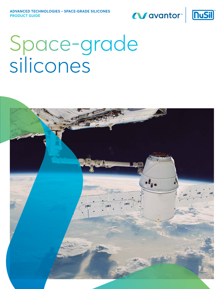### Wavantor<sup>®</sup> **nuSil**



# Space-grade silicones

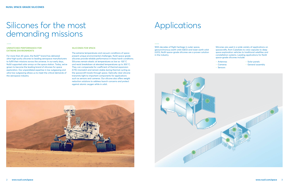## Silicones for the most Applications demanding missions

#### **UNMATCHED PERFORMANCE FOR EXTREME ENVIRONMENTS**

For more than 40 years, the NuSil™ brand has delivered ultra-high-purity silicones to leading aerospace manufacturers to fulfill their missions across the universe. In our early days, NuSil supported solar arrays on the space station. Today, we've grown to become the leading brand of silicones for space exploration. Our unparalleled expertise in low outgassing and ultra-low outgassing allows us to meet the critical demands of the aerospace industry.

#### **SILICONES FOR SPACE**

- ‒ Solar panels
- General assembly

The extreme temperatures and vacuum conditions of space present unique environmental challenges. NuSil space-grade silicones provide reliable performance in these harsh conditions. Silicones remain elastic at temperatures as low as -120˚C and resist breakdown at elevated temperatures up to 300˚C. They can compensate for coefficient of thermal expansion (CTE) mismatch and remain stable during thermal cycling as the spacecraft travels through space. Optically clear silicone transmits light to important components for applications such as sensors and cameras. Our silicone also offers weight reduction solutions to address launch concerns and protect against atomic oxygen while in orbit.

With decades of flight heritage in outer space, geosynchronous earth orbit (GEO) and lower earth orbit (LEO), NuSil space-grade silicones are a proven solution in the industry.



Silicones are used in a wide variety of applications on spacecrafts, from CubeSats to crew capsules to deep space exploration vehicles to traditional satellites and constellation systems. Leading applications for NuSil space-grade silicones include:

- ‒ Antennas
- ‒ Cameras
- ‒ Sensors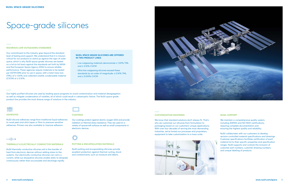## Space-grade silicones

### **ADHESIVES**

NuSil silicone adhesives range from traditional liquid adhesives to novel peel-and-stick tapes or films to pressure-sensitive adhesives. Primers are also available to improve adhesion.

### $-$ - $||$

#### **COATINGS**

Our coatings protect against atomic oxygen (AO) and provide radiation or thermal stress resistance. They are used on a variety of spacecraft surfaces as well as small components in electronic devices.

### **POTTING & ENCAPSULATING MATERIALS**

NuSil potting and encapsulating silicones provide excellent protection against thermal cycling, shock and contaminants, such as moisture and debris.



### **THERMALLY & ELECTRICALLY CONDUCTIVE MATERIALS**

NuSil thermally conductive silicones aid in the transfer of heat from electronic devices without adding stress to the systems. Our electrically conductive silicones can carry a current, while our dissipative silicones enable static to dissipate continuously rather than accumulate and discharge rapidly.

#### **RIGOROUS LOW OUTGASSING STANDARDS**

We maintain a comprehensive quality system, including AS9100 and ISO 9001 certifications, requiring complete documentation and ensuring the highest quality and reliability.

Our commitment to this industry goes beyond the standard level of testing and support. We understand that it is mission critical for our products to stand up against the rigor of outer space, which is why NuSil space-grade silicones are tested on a lot-to-lot basis against the standards set forth by NASA and the European Space Agency (ESA) to ensure reliable performance. These agencies require materials to be tested per ASTM E595 prior to use in space, with a total mass loss (TML) of ≤ 1.00% and collected volatile condensable material (CVCM) of ≤ 0.10%.

#### **CUSTOMIZATION MASTERED**

We know that standard solutions don't always fit. That's why we customize our silicones from formulation to packaging based on our customers' unique applications. With over four decades of serving the most demanding industries, we've honed our processes and proprietary equipment to take customization to a mass scale.



### **NUSIL SUPPORT**

NuSil collaborates with our customers to develop revision-controlled material specifications and drawings. Customer specifications facilitate certification of each material lot to their specific properties and specification ranges. NuSil supports and controls the inclusion of customer part numbers, customer drawing numbers, and unique labeling of products.

### **NUSIL SPACE-GRADE SILICONES ARE OFFERED IN TWO PRODUCT LINES:**

- ‒ Low outgassing materials demonstrate ≤ 1.00% TML and ≤ 0.10% CVCM
- ‒ Ultra-low outgassing silicones exceed these standards by an order of magnitude: ≤ 0.10% TML and ≤ 0.010% CVCM

Our highly purified silicones are used by leading space programs to avoid contamination and material desegregation as well as mitigate condensation of volatiles, all of which could result in catastrophic failure. The NuSil space-grade product line provides the most diverse range of solutions in the industry.

#### ниши  $\frac{1}{1111111111}$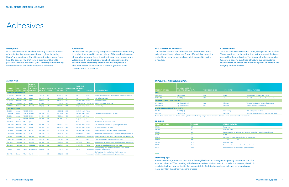### **ADHESIVES**

|                             |               |                | <b>VISCOSITY</b><br>(cP/mPa·s) |           |                            |                |                   | <b>WORK TIME</b>      |              |                                                                                                               |
|-----------------------------|---------------|----------------|--------------------------------|-----------|----------------------------|----------------|-------------------|-----------------------|--------------|---------------------------------------------------------------------------------------------------------------|
| <b>PRODUCT</b>              | <b>CURE</b>   | <b>MIX</b>     | <b>EXTRUSION</b>               |           | <b>LAP SHEAR DUROMETER</b> | <b>TENSILE</b> | <b>ELONGATION</b> | <b>(TACK-FREE</b>     |              |                                                                                                               |
| <b>NUMBER</b>               | <b>SYSTEM</b> | <b>RATIO</b>   | (g/minute)                     | psi (MPa) | <b>TYPE A</b>              | psi (MPa)      | ℅                 | TIME)                 | <b>COLOR</b> | <b>SPECIAL FEATURES</b>                                                                                       |
| <b>ULTRA-LOW OUTGASSING</b> |               |                |                                |           |                            |                |                   |                       |              |                                                                                                               |
| <b>SCV1-2590</b>            | Platinum      | 1:1            | 3.300                          | 175(1.2)  | 50                         | 925(6.4)       | 90                | 4 <sub>h</sub>        | Clear        | Formulated for reduced discoloration due to UV exposure                                                       |
| <b>SCV2-2590</b>            | Platinum      | 10:1           | 4,000                          | 250(1.7)  | 45                         | 475(3.3)       | 85                | 2 <sub>h</sub>        | Clear        | 1.43 refractive index                                                                                         |
| <b>SCV-2590</b>             | Platinum      | 10:1           | 7.300                          | 375(2.6)  | 45                         | 950 (6.6)      | 125               | 2 h (24 h max)        | Clear        | <b>Available in black</b>                                                                                     |
| <b>SCV-2585</b>             | Platinum      | 1:1            | 49,500                         | 475 (3.3) | 35                         | 700 (4.8)      | 300               | 1 h (24 h max)        |              | Translucent Tough, thixotropic elastomer                                                                      |
| <b>SCV-2586</b>             | Platinum      | 1:1            | 325,000                        | 175(1.2)  | 45                         | 225(1.6)       | 150               | 4 h (24 h max)        | Red          | Low density                                                                                                   |
| <b>LOW OUTGASSING</b>       |               |                |                                |           |                            |                |                   |                       |              |                                                                                                               |
| <b>CV-2510</b>              | Alkoxy        | 100:0.5 45.000 |                                | ×.        | 45                         | 600(4.1)       | 200               | 4 h (24 h max)        | White        |                                                                                                               |
| CV1-2566                    | Alkoxy        |                | 100:0.5 45,000                 | 650 (4.5) | 50                         | 900(6.2)       | 160               | 3 h (24 h max)        | Red          | Lower viscosity version of CV-2566                                                                            |
| <b>CV-2566</b>              | Alkoxy        |                | 100:0.5 55,000                 | 500(3.4)  | 55                         | 950(6.6)       | 150               | 3 h (24 h max)        | Red          | ٠                                                                                                             |
| <b>CV-2568</b>              | Alkoxy        |                | 100:0.5 125,000                | 100(0.7)  | 50                         | 175(1.2)       | 60                | 4 h (24 h max)        | Red          | Low density                                                                                                   |
| CV4-2500                    | Platinum      | 1:1            | 1.500                          | $\sim$    | 28                         | ÷.             | ٠                 | (15 h)                | Clear        | Tack free in 10 minutes at 65°C                                                                               |
| CV16-2500                   | Platinum      | 10:1           | 3,600                          | 200(1.4)  | 40                         | 650 (4.5)      | 100               | 2 h (24 h max)        | Clear        | 1.43 refractive index, broad operating temperature                                                            |
| CV10-2500                   | Platinum      | 1:1            | 5,500                          | 480 (3.3) | 50                         | 950 (6.6)      | 140               | 4 h (24 h max)        | Clear        | 1:1 (A:B) version of CV-2500                                                                                  |
| <b>CV-2500</b>              | Platinum      | 10:1           | 8,000                          | 400 (2.8) | 50                         | 1,000(6.9)     | 125               | 2 h (24 h max)        | Clear        | Available in black and a 1:1 version (CV10-2500)                                                              |
| CV2-2289-1                  | Platinum      | 1:1            | 12.250                         | 300(2.1)  | 30                         | 450 (3.1)      | 250               | $(24 h \text{ max})$  | White        | Tack free in 15 minutes at 65°C, broad operating temperature                                                  |
| <b>CV-2289</b>              | Platinum      | 1:1            | 50,000                         | 400 (2.8) | 30                         | 750 (5.2)      | 350               | 30 m (8 h max)        |              | Translucent Available in white and black, broad operating temperature                                         |
| CV10-2568                   | Platinum      | 1:1            | 102,500                        | 175(1.2)  | 40                         | 235(1.6)       | 170               | 3 <sub>h</sub>        | Red          | Low density, broad operating temperature                                                                      |
| CV7-2289-1                  | Platinum      | 1:1            | 228,750                        | 350 (2.4) | 30                         | 700 (4.8)      | 375               | 9 h (25 h)            | White        | Improved primerless adhesion, broad operating temperature                                                     |
| CV4-2289-1                  | Platinum      | 1:1            | 1,150,000                      | 325(2.2)  | 30                         | 650 (4.5)      | 400               | $30 \text{ m} (11 h)$ | White        | Non-slump, broad operating temperature                                                                        |
| <b>CV-1142</b>              | Oxime         | 1 Part         | 35 g/minute                    | 375(2.6)  | 45                         | 700 (4.8)      | 300               | (20 <sub>m</sub> )    |              | Spot bonding, also available in black & white, broad<br>Translucent operating temperature                     |
| CV1-1142                    | Oxime         | 1 Part         | 13,000                         |           | 30                         | 400 (2.8)      | 200               |                       |              | Self-leveling, also available in black & white and<br>Translucent with UV tracer, broad operating temperature |

## Adhesives

#### **Description**

NuSil adhesives offer excellent bonding to a wide variety of substrates like metals, plastics and glass, including Kovar® and polyimide. Our silicone adhesives range from liquid to tape or film that form a permanent bond to pressure-sensitive adhesives (PSA) for temporary bonding. Primers are also available to improve adhesion.

#### **Next Generation Adhesives**

Our curable silicone film adhesives are alternate solutions to traditional liquid adhesives. These offer reliable bond-line control in an easy-to-use peel and stick format. No mixing is needed.

#### **Customization**

With NuSil film adhesives and tapes, the options are endless. These solutions can be customized to the size and thickness needed for the application. The degree of adhesion can be tuned to a specific substrate. Structural support systems, such as mesh or carrier, are available options to improve the integrity of the adhesive.

#### **Applications**

Our silicones are specifically designed to increase manufacturing throughput for speed to market. Many of these adhesives cure at room temperature faster than traditional room temperature vulcanizing (RTV) adhesives or can be heat accelerated to accommodate processing procedures. NuSil tapes have also been known to function as a particle getter to avoid contamination on surfaces.

#### **PRIMERS**

| <b>PRODUCT NUMBER</b> | % SOLIDS | <b>SPECIAL FEATURES</b>                                                       |
|-----------------------|----------|-------------------------------------------------------------------------------|
| CF1-136               | 3.7      | <b>Red primer</b>                                                             |
| <b>SP-120</b>         | 4.0      | Available in red                                                              |
| CF1-135               | 4.0      | Recommended for addition cure silicones where there is slight cure inhibition |
| <b>SP-126</b>         | 6.3      | In IPA                                                                        |
| CF2-137               | 7.0      | Contains UV Light detectable dye for inspections                              |
| CF6-135               | 8.7      | Available in red and IPA                                                      |
| <b>SP-270</b>         | 15.0     | Available in red                                                              |
| <b>SP-142</b>         | 15.0     | Recommended for increasing adhesion to plastic                                |
| <b>SP-271</b>         | 20.0     | Recommended for adhering to gold substrates                                   |
|                       |          |                                                                               |

| <b>PRODUCT NUMBER</b> | % SOLIDS | <b>SPECIAL FEATURES</b>                          |
|-----------------------|----------|--------------------------------------------------|
| CF1-136               | 3.7      | <b>Red primer</b>                                |
| SP-120                | 4.0      | Available in red                                 |
| CF1-135               | 4.0      | Recommended for addition cure silicones where    |
| <b>SP-126</b>         | 6.3      | In IPA                                           |
| CF2-137               | 7.0      | Contains UV Light detectable dye for inspections |
| CF6-135               | 8.7      | Available in red and IPA                         |
| SP-270                | 15.0     | Available in red                                 |
| <b>SP-142</b>         | 15.0     | Recommended for increasing adhesion to plastic   |
| SP-271                | 20.0     | Recommended for adhering to gold substrates      |
|                       |          |                                                  |

#### **TAPES, FILM ADHESIVES & PSAs**

| <b>PRODUCT NUMBER</b>                                                                                                                            | LAP SHEAR psi (MPa)<br>PEEL STRENGTH ppi (kN/m) | <b>THICKNESS (INCHES)</b> | <b>CURE SYSTEM</b> | <b>SPECIAL FEATURES</b>                         |  |  |  |  |  |
|--------------------------------------------------------------------------------------------------------------------------------------------------|-------------------------------------------------|---------------------------|--------------------|-------------------------------------------------|--|--|--|--|--|
| <b>TAPES</b>                                                                                                                                     |                                                 |                           |                    |                                                 |  |  |  |  |  |
| CV4-1161-5                                                                                                                                       | Peel: 2.5 (0.4)                                 | 0.005                     | Cured              | Double-sided tape, Kapton® carrier              |  |  |  |  |  |
| CV5-1161-7                                                                                                                                       | Peel: 2.1 (0.4)                                 | 0.007                     | Cured              | One-sided tape, conductive Kapton® carrier      |  |  |  |  |  |
| <b>TWO-PART CURABLE FILM ADHESIVES</b>                                                                                                           |                                                 |                           |                    |                                                 |  |  |  |  |  |
| CV-2688-12                                                                                                                                       | Lap Shear: 250 (1.7)                            | 0.013                     | <b>Platinum</b>    | Versatile bond over a variety of substrates     |  |  |  |  |  |
| CV-2686-12                                                                                                                                       | Lap Shear: 60 (0.4)                             | 0.013                     | <b>Platinum</b>    | Volume resistivity, 150 ohm·cm                  |  |  |  |  |  |
| <b>LIQUID PRESSURE-SENSITIVE ADHESIVES</b>                                                                                                       |                                                 |                           |                    |                                                 |  |  |  |  |  |
| <b>CV-1161</b>                                                                                                                                   | Peel: 7.5 (1.3)                                 |                           | Non-curing         | 50% solids, ethyl acetate                       |  |  |  |  |  |
| CV3-1161                                                                                                                                         | Peel: 1.5 (0.3)                                 |                           | Peroxide           | Non-VOC solvent, tert butyl acetate, 37% solids |  |  |  |  |  |
| *NuSil offers custom tapes and films to further optimize manufacturing and product performance. Contact a NuSil representative for more details. |                                                 |                           |                    |                                                 |  |  |  |  |  |

#### **Processing tips**

For the best bond, ensure the substrate is thoroughly clean. Activating and/or priming the surface can also improve adhesion. When working with silicone adhesives, it is important to consider the solvents, chemicals or substrates they may contact in their uncured state. Certain chemical elements and compounds can retard or inhibit the adhesive's curing process.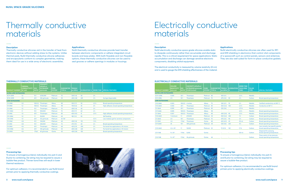## Thermally conductive materials

## Electrically conductive materials

#### **Description**

Thermally conductive silicones aid in the transfer of heat from electronic devices without adding stress to the systems. Unlike thermal pads, NuSil thermally conductive silicone adhesives and encapsulants conform to complex geometries, making them ideal for use in a wide array of electronic assemblies.

> The electrical conductivity is measured by volume resistivity ( $\Omega$ ·cm) and is used to gauge the EMI shielding effectiveness of the material.

#### **Description**

NuSil electrically conductive space-grade silicones enable static to dissipate continuously rather than accumulate and discharge rapidly. This is a critical requirement for space applications: Static accumulation and discharge can damage sensitive electronic components, disabling orbital equipment.

#### **Applications**

NuSil thermally conductive silicones provide heat transfer between electronic components or adhere integrated circuit boards and base plates. With both flowable and non-flowable options, these thermally conductive silicones can be used to seal grooves or adhere openings in modules or housings.

#### **Applications**

NuSil electrically conductive silicones are often used for RFI and EMI shielding in electronics that control vital components of a spacecraft such as control panels, sensors and antennas. They are also well suited for form-in-place conductive gaskets.

#### **THERMALLY CONDUCTIVE MATERIALS ELECTRICALLY CONDUCTIVE MATERIALS**

|                             | <b>THERMAL</b><br><b>CONDUCTIVITY</b> | <b>MIX</b>   | <b>VISCOSITY</b><br>(cP/mPa-s)<br><b>EXTRUSION</b> | <b>CURE</b>   | <b>DUROMETER</b> | <b>TENSILE</b> |                     |                  |                                             |
|-----------------------------|---------------------------------------|--------------|----------------------------------------------------|---------------|------------------|----------------|---------------------|------------------|---------------------------------------------|
| <b>PRODUCT NUMBER</b>       | W/ (mK)                               | <b>RATIO</b> | (g/minute)                                         | <b>SYSTEM</b> | <b>TYPE A</b>    | psi (MPa)      | <b>ELONGATION %</b> | <b>WORK TIME</b> | <b>SPECIAL FEATURES</b>                     |
| <b>ULTRA-LOW OUTGASSING</b> |                                       |              |                                                    |               |                  |                |                     |                  |                                             |
| <b>SCV1-2599</b>            | 1.6                                   | 15:1         | 4,150,000                                          | Platinum      | 75               | 200(1.4)       | 30                  | 2 <sub>h</sub>   | ٠                                           |
| <b>SCV2-2599</b>            | 0.6                                   | 20:1         | 140 g/minute                                       | Platinum      | 55               | 400 (2.8)      | 225                 | 3 <sub>h</sub>   | Syringe-dispensable                         |
| <b>LOW OUTGASSING</b>       |                                       |              |                                                    |               |                  |                |                     |                  |                                             |
| <b>CV-2948</b>              | 2.0                                   | 100:0.2      | Thixotropic                                        | Alkoxy        | 80               | 250(1.7)       | 30                  | 2.5h             | <b>Broad operating temperature</b>          |
| CV-2943                     | 1.2                                   | 100:0.2      | Thixotropic                                        | Alkoxy        | 90               | 750 (5.2)      | 35                  | 2 <sub>h</sub>   | High adhesion, broad operating temperature  |
| <b>CV-2946</b>              | 1.5                                   | 15:1         | Thixotropic                                        | Platinum      | 75               | 200(1.4)       | 30                  | 2 <sub>h</sub>   | ٠                                           |
| CV1-2960                    | 1.1                                   | 10:1         | 900,000                                            | Platinum      | 75               | 250(1.7)       | 60                  | 2 <sub>h</sub>   | ٠                                           |
| <b>CV-2942</b>              | 1.0                                   | 20:1         | Thixotropic                                        | Platinum      | 85               | 650 (4.5)      | 15                  | 2.5h             | High adhesion, broad operating temperature  |
| CV1-2964                    | 1.0                                   | 1:1          | 50,000                                             | Platinum      | 65               | 180 (1.2)      | 50                  | ۰.               | Self-leveling                               |
| CV4-2946                    | 1.0                                   | 20:1         | 122 g/minute                                       | Platinum      | 36 '00'          | ۰.             | ٠                   | 5.5h             | Low modulus gel for sensitive components    |
| <b>CV-2960</b>              | 0.8                                   | 10:1         | 130,000                                            | Platinum      | 60               | 200(1.4)       | 110                 | 1.5 <sub>h</sub> | ٠                                           |
| <b>CV-2961</b>              | 0.8                                   | 10:1         | 300,000                                            | Platinum      | 75               | 275(1.9)       | 40                  | 2 <sub>h</sub>   | <b>Broad operating temperature</b>          |
| CV-2963                     | 0.6                                   | 20:1         | Thixotropic                                        | Platinum      | 60               | 425 (2.9)      | 250                 | 2 <sub>h</sub>   | For bond-line applications $\geq 10$ micron |
| CV2-2946                    | 0.6                                   | 20:1         | 140 g/minute                                       | Platinum      | 55               | 400(2.8)       | 225                 | 3 <sub>h</sub>   | For bond-line applications $\geq 10$ micron |
| <b>CV-2900</b>              | 0.6                                   | 1 Part       | 40 g/minute                                        | Oxime         | 65               | 400 (2.8)      | 150                 | ٠                | <b>Broad operating temperature</b>          |

| <b>PRODUCT NUMBER</b> | <b>VOLUME</b><br><b>RESISTIVITY</b><br>(ohm.cm) | <b>MIX</b><br><b>RATIO</b> | VISCOSITY (cP/mPa-s)<br><b>EXTRUSION</b> (g/minute)<br><b>FLOW</b> (inches) | <b>CURE</b><br><b>SYSTEM</b> | <b>DUROMETER</b><br><b>TYPE A</b> | <b>TENSILE</b><br>psi (MPa) | <b>ELONGATION</b><br>$\%$ | <b>WORK TIME</b><br><b>(TACK-FREE</b><br>TIME) | <b>FILLER</b><br><b>TYPE</b> | <b>SPECIAL FEATURES</b>                                             |  |  |
|-----------------------|-------------------------------------------------|----------------------------|-----------------------------------------------------------------------------|------------------------------|-----------------------------------|-----------------------------|---------------------------|------------------------------------------------|------------------------------|---------------------------------------------------------------------|--|--|
|                       | <b>ULTRA-LOW OUTGASSING</b>                     |                            |                                                                             |                              |                                   |                             |                           |                                                |                              |                                                                     |  |  |
| <b>SCV1-2596</b>      | 0.005                                           | 20:1                       | Thixotropic                                                                 | Platinum 85                  |                                   | 450 (3.1)                   | $\sim$                    | 2.5h                                           | <b>Metallic</b>              | $\sim$                                                              |  |  |
| <b>SCV-2596</b>       | 2.5                                             | 10:1                       | Thixotropic                                                                 | Platinum 75                  |                                   | 475 (3.3)                   | 90                        | 2 <sub>h</sub>                                 | Carbon                       | <b>Broad operating temperature</b>                                  |  |  |
| <b>LOW OUTGASSING</b> |                                                 |                            |                                                                             |                              |                                   |                             |                           |                                                |                              |                                                                     |  |  |
| CV2-2646              | 0.003                                           |                            | 100:0.5 4 inches                                                            | Alkoxy                       | 75                                | 300(2.1)                    | 70                        | 2 <sub>h</sub>                                 | <b>Metallic</b>              | Certified conductivity at 200° C                                    |  |  |
| CV2-2644              | 0.004                                           | 20:1                       | Thixotropic                                                                 | Platinum                     | 85                                | 500 (3.4)                   | 100                       | 2.5h                                           | <b>Metallic</b>              | Conductive at 80° C                                                 |  |  |
| <b>CV-2644</b>        | 0.005                                           | 20:1                       | Thixotropic                                                                 | Platinum 85                  |                                   | 525(3.6)                    | $\sim$                    | 2.75h                                          | <b>Metallic</b>              | ×.                                                                  |  |  |
| CV1-2646              | 0.005                                           | 100:0.5                    | Thixotropic                                                                 | Alkoxy                       | 90                                | ÷.                          | ٠                         | 2.5h                                           | <b>Metallic</b>              | <b>Broad operating temperature</b>                                  |  |  |
| CV-2646               | 0.007                                           | 100:0.5                    | Thixotropic                                                                 | Alkoxy                       | 80                                | 400 (2.8)                   | -90                       | 3.5h                                           | <b>Metallic</b>              | <b>Broad operating temperature</b>                                  |  |  |
| CV2-2640              | 1 minimum                                       | 1:1                        | 675,000                                                                     | Platinum                     | 30                                | 500 (3.4)                   | 350                       | 1 <sub>h</sub>                                 | Carbon                       | <b>Broad operating temperature</b>                                  |  |  |
| <b>CV-2640</b>        | 2.5                                             | 10:1                       | Thixotropic                                                                 | Platinum                     | 75                                | 475 (3.3)                   | -90                       | 2 <sub>h</sub>                                 | Carbon                       | <b>Broad operating temperature</b>                                  |  |  |
| <b>CV-1500</b>        | 3.0                                             | 1 Part                     | Thixotropic                                                                 | Oxime                        | 80                                | 650 (4.5)                   | 20                        | $(10 \text{ m})$                               | Carbon                       | <b>Broad operating temperature</b>                                  |  |  |
| CV1-2640              | 25                                              | 10:1                       | 300 g/minute                                                                | <b>Platinum</b>              | 40                                | 525(3.6)                    | 225                       | 4 h                                            | Carbon                       | <b>Broad operating temperature</b>                                  |  |  |
| CV3-2640              | $2.2 \times 10^{6}$                             | 1:1                        | 10,000                                                                      | Platinum 25                  |                                   | 70 (0.5)                    | 120                       | (7 <sub>h</sub> )                              | Carbon                       | Low viscosity, low specific gravity,<br>broad operating temperature |  |  |
| CV1-1148              | $9 \times 10^{9}$                               | 1 Part                     | 5,000                                                                       | Oxime                        | ×,                                | $\sim$                      | ٠                         | (50 <sub>m</sub> )                             | Carbon                       | Dispersed for spraying,<br>broad operating temperature              |  |  |
| CV2-1148              | $9 \times 10^{9}$                               | 1 Part                     | 36 g/minute                                                                 | Oxime                        | 44                                |                             |                           |                                                | Carbon                       | Flows easily at low pressure,<br>broad operating temperature        |  |  |

#### **Processing tips**

To ensure a homogenous blend, individually mix part A and B prior to combining. De-airing may be required to assure a bubble-free product. Thinner bond lines will result in lower thermal resistance.

For optimum adhesion, it is recommended to use NuSil brand primers prior to applying thermally conductive coatings.





### **Processing tips**

To ensure a homogenous blend, individually mix part A and B prior to combining. De-airing may be required to assure a bubble-free product.

For optimum adhesion, it is recommended to use NuSil brand primers prior to applying electrically conductive coatings.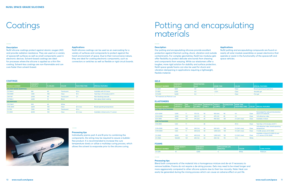## **Coatings**

### Potting and encapsulating materials

#### **Processing tips**

Blend both components of the material into a homogenous mixture and de-air if necessary to remove bubbles. Foams do not require a de-airing process. Gels may need to be mixed longer and more aggressively compared to other silicone systems due to their low viscosity. Note: Heat can easily be generated during the mixing process which can cause an adverse effect on pot life.

#### **Description**

NuSil silicone coatings protect against atomic oxygen (AO) and provide radiation resistance. They are used on a variety of spacecraft surfaces as well as small components used in electronic devices. Solvent-based coatings are ideal for processes where the silicone is applied as a thin film coating. Solvent-less coatings are non-flammable and can cure faster than solvent-based.

#### **Description**

Our potting and encapsulating silicones provide excellent protection against thermal cycling, shock, vibration and outside contaminants. For complex geometries, NuSil low modulus gels offer flexibility to protect delicate wire bonds from shearing and components from warping. While our elastomers offer a tougher, more rigid solution for stability and surface protection, NuSil space-grade foams can also be used for shock and vibration dampening in applications requiring a lightweight, flexible material.

#### **Applications**

NuSil silicone coatings can be used as an overcoating for a variety of surfaces and components to protect against the harsh environment of space. Due to their noncorrosive nature, they are ideal for coating electronic components, such as connectors or switches as well as flexible or rigid circuit boards.

### **Applications**

NuSil potting and encapsulating compounds are found on nearly all solar module assemblies or power electronics that operate or assist in the functionality of the spacecraft and space vehicles.

#### **COATINGS**

|                                | <b>VISCOSITY</b> |                 |                    |                       |                                      |
|--------------------------------|------------------|-----------------|--------------------|-----------------------|--------------------------------------|
| <b>PRODUCT NUMBER</b>          | (cP/mPa·s)       | <b>W</b> SOLIDS | <b>COLOR</b>       | <b>TACK-FREE TIME</b> | <b>SPECIAL FEATURES</b>              |
| <b>SOLVENT-BASED (NAPHTHA)</b> |                  |                 |                    |                       |                                      |
| CV-1144-0                      | 240              | 60              | Translucent        | 50 m                  | Available with UV tracer             |
| CV4-2500                       | 1,500            | 100             | Clear              | 15h                   | Tack free in 10 minutes at 65°C      |
| CV4-1147                       | 2,000            | 60              | Translucent        | 2 <sub>h</sub>        | Non-blocking overcoat                |
| CV-1146-2                      | 2,400            | 72              | <b>Black</b>       |                       | Non-glossy black coating             |
| <b>SOLVENTLESS</b>             |                  |                 |                    |                       |                                      |
| CV3-1144-1                     | 900              | 60              | White              |                       | ۰                                    |
| CV16-2500                      | 3,600            | 100             | Clear              | $24 h$ max            | <b>Broad operating temperature</b>   |
| <b>CV-1152</b>                 | 7,300            | 100             | <b>Translucent</b> | 50 m                  |                                      |
| <b>CV-2500</b>                 | 8,000            | 100             | Clear              | 24 h max              | Available in black and a 1:1 version |



#### **GELS**

| <b>PRODUCT NUMBER</b>            | <b>VISCOSITY</b><br>$ $ (cP/mPa-s) | <b>I PENETRATION</b><br>(mm) | <b>WORK TIME</b> | <b>COLOR</b> | <b>SPECIAL FEATURES</b>            |
|----------------------------------|------------------------------------|------------------------------|------------------|--------------|------------------------------------|
| <b>CV-8251</b>                   | 1.800                              | 3.0                          | 24 h             | Clear        | <b>Broad operating temperature</b> |
| <b>CV-8151</b>                   | 2.500                              | 4.0                          | > 30 h           | Clear        | Versatile gel                      |
| CV1-8151                         | 12.250                             | 0.4                          |                  | Clear        | Firm gel                           |
| *All materials are Platinum cure |                                    |                              |                  |              |                                    |

#### **FOAMS**

| <b>PRODUCT NUMBER</b> | <b>FOAM DENSITY</b><br>$ $ lbs/ft <sup>3</sup> | <b>VISCOSITY</b><br>(cP/mPa·s) | <b>LAPPLICATION LIFE</b><br>MINUTES) | <b>COLOR</b> | <b>CURE SYSTEM</b> |
|-----------------------|------------------------------------------------|--------------------------------|--------------------------------------|--------------|--------------------|
| CV-2391               |                                                | 3.000                          |                                      | White        | Platinum           |

#### **ELASTOMERS**

| <b>PRODUCT NUMBER</b>       | <b>VISCOSITY</b><br>(cP/mPa·s) | <b>MIX</b><br><b>RATIO</b> | <b>LAP SHEAR</b><br>psi (MPa) | <b>DUROMETER</b><br><b>TYPE A</b> | <b>TENSILE</b><br>psi (MPa) | <b>ELONGATION</b><br>$\sim$ | <b>WORK TIME</b><br>(TACK-FREE TIME) | <b>COLOR</b> | <b>SPECIAL FEATURES</b>                                         |
|-----------------------------|--------------------------------|----------------------------|-------------------------------|-----------------------------------|-----------------------------|-----------------------------|--------------------------------------|--------------|-----------------------------------------------------------------|
| <b>ULTRA-LOW OUTGASSING</b> |                                |                            |                               |                                   |                             |                             |                                      |              |                                                                 |
| <b>SCV1-2590</b>            | 3,300                          | 1:1                        | 175(1.2)                      | 50                                | 925(6.4)                    | 90                          | 4 <sub>h</sub>                       | Clear        | Formulated for reduced discoloration<br>due to UV exposure      |
| <b>SCV2-2590</b>            | 4.000                          | 10:1                       | 250(1.7)                      | 45                                | 475 (3.3)                   | 85                          | 2 <sub>h</sub>                       | Clear        | 1.43 refractive index                                           |
| <b>SCV-2590</b>             | 7.300                          | 10:1                       | 375(2.6)                      | 45                                | 950(6.6)                    | 125                         | 2 h (24 h max)                       | Clear        | Available in black                                              |
| <b>LOW OUTGASSING</b>       |                                |                            |                               |                                   |                             |                             |                                      |              |                                                                 |
| CV4-2500                    | 1,500                          | 1:1                        | ٠                             | 28                                | ٠                           |                             | (15 h)                               | Clear        | Tack free in 10 minutes at 65°C                                 |
| CV16-2500                   | 3,600                          | 10:1                       | 200(1.4)                      | 40                                | 650(4.5)                    | 100                         | 2 h (24 h max)                       | Clear        | 1.43 refractive index, broad operating<br>temperature           |
| CV10-2500                   | 7,000                          | 1:1                        | 400(2.8)                      | 50                                | 1,000(6.9)                  | 130                         | 3 h (24 h max)                       | Clear        | 1:1 (A:B) version of CV-2500                                    |
| <b>CV-2500</b>              | 8.000                          | 10:1                       | 400 (2.8)                     | 50                                | 1,000(6.9)                  | 125                         | 2 h (24 h max)                       | Clear        | Available in black (CV-2500-2) and<br>a 1:1 version (CV10-2500) |
| <b>CV-2960</b>              | 130,000                        | 10:1                       | 205(1.4)                      | 60                                | 200(1.4)                    | 110                         | 1.5 <sub>h</sub>                     | White        |                                                                 |

#### **Processing tips**

Individually premix part A and B prior to combining the components. De-airing may be required to assure a bubblefree product. It is recommended to increase the cure temperature slowly or utilize a multistep curing process, which allows the solvent to evaporate prior to the silicone curing.